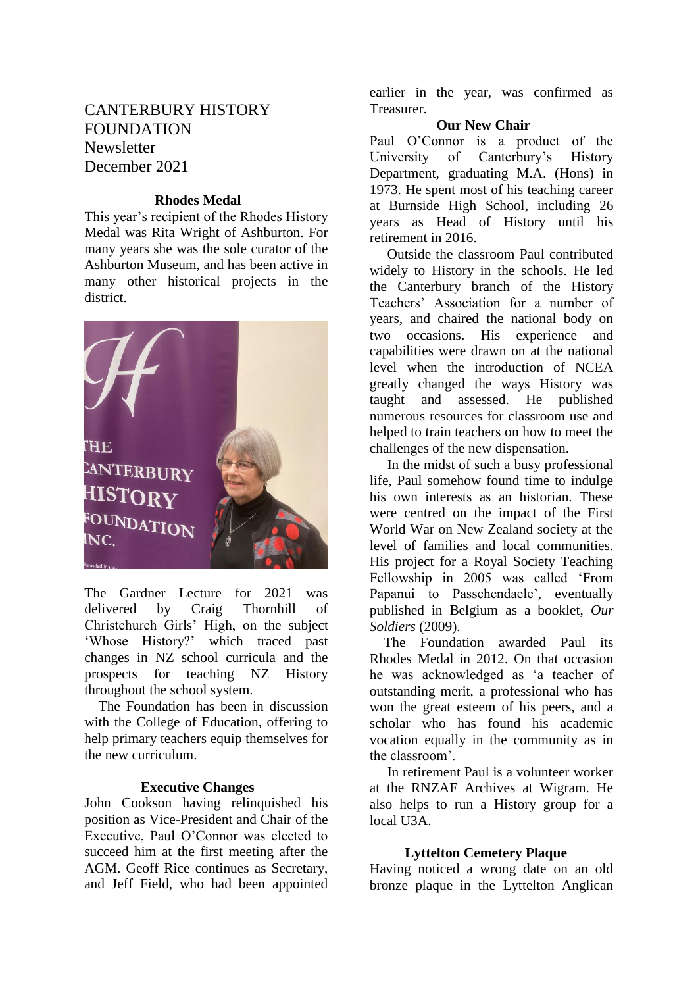# CANTERBURY HISTORY **FOUNDATION Newsletter** December 2021

# **Rhodes Medal**

This year's recipient of the Rhodes History Medal was Rita Wright of Ashburton. For many years she was the sole curator of the Ashburton Museum, and has been active in many other historical projects in the district.



The Gardner Lecture for 2021 was delivered by Craig Thornhill of Christchurch Girls' High, on the subject 'Whose History?' which traced past changes in NZ school curricula and the prospects for teaching NZ History throughout the school system.

 The Foundation has been in discussion with the College of Education, offering to help primary teachers equip themselves for the new curriculum.

#### **Executive Changes**

John Cookson having relinquished his position as Vice-President and Chair of the Executive, Paul O'Connor was elected to succeed him at the first meeting after the AGM. Geoff Rice continues as Secretary, and Jeff Field, who had been appointed

earlier in the year, was confirmed as Treasurer.

# **Our New Chair**

Paul O'Connor is a product of the University of Canterbury's History Department, graduating M.A. (Hons) in 1973. He spent most of his teaching career at Burnside High School, including 26 years as Head of History until his retirement in 2016.

 Outside the classroom Paul contributed widely to History in the schools. He led the Canterbury branch of the History Teachers' Association for a number of years, and chaired the national body on two occasions. His experience and capabilities were drawn on at the national level when the introduction of NCEA greatly changed the ways History was taught and assessed. He published numerous resources for classroom use and helped to train teachers on how to meet the challenges of the new dispensation.

 In the midst of such a busy professional life, Paul somehow found time to indulge his own interests as an historian. These were centred on the impact of the First World War on New Zealand society at the level of families and local communities. His project for a Royal Society Teaching Fellowship in 2005 was called 'From Papanui to Passchendaele', eventually published in Belgium as a booklet, *Our Soldiers* (2009).

 The Foundation awarded Paul its Rhodes Medal in 2012. On that occasion he was acknowledged as 'a teacher of outstanding merit, a professional who has won the great esteem of his peers, and a scholar who has found his academic vocation equally in the community as in the classroom'.

 In retirement Paul is a volunteer worker at the RNZAF Archives at Wigram. He also helps to run a History group for a local U3A.

### **Lyttelton Cemetery Plaque**

Having noticed a wrong date on an old bronze plaque in the Lyttelton Anglican